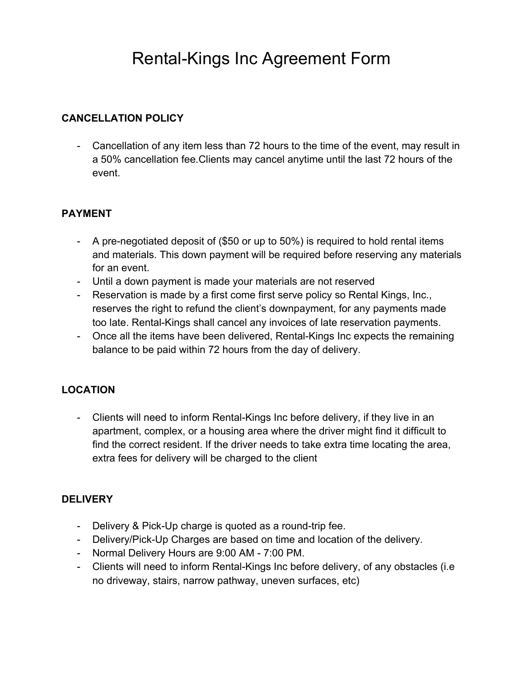# Rental-Kings Inc Agreement Form

#### **CANCELLATION POLICY**

- Cancellation of any item less than 72 hours to the time of the event, may result in a 50% cancellation fee.Clients may cancel anytime until the last 72 hours of the event.

### **PAYMENT**

- A pre-negotiated deposit of (\$50 or up to 50%) is required to hold rental items and materials. This down payment will be required before reserving any materials for an event.
- Until a down payment is made your materials are not reserved
- Reservation is made by a first come first serve policy so Rental Kings, Inc., reserves the right to refund the client's downpayment, for any payments made too late. Rental-Kings shall cancel any invoices of late reservation payments.
- Once all the items have been delivered, Rental-Kings Inc expects the remaining balance to be paid within 72 hours from the day of delivery.

## **LOCATION**

- Clients will need to inform Rental-Kings Inc before delivery, if they live in an apartment, complex, or a housing area where the driver might find it difficult to find the correct resident. If the driver needs to take extra time locating the area, extra fees for delivery will be charged to the client

#### **DELIVERY**

- Delivery & Pick-Up charge is quoted as a round-trip fee.
- Delivery/Pick-Up Charges are based on time and location of the delivery.
- Normal Delivery Hours are 9:00 AM 7:00 PM.
- Clients will need to inform Rental-Kings Inc before delivery, of any obstacles (i.e no driveway, stairs, narrow pathway, uneven surfaces, etc)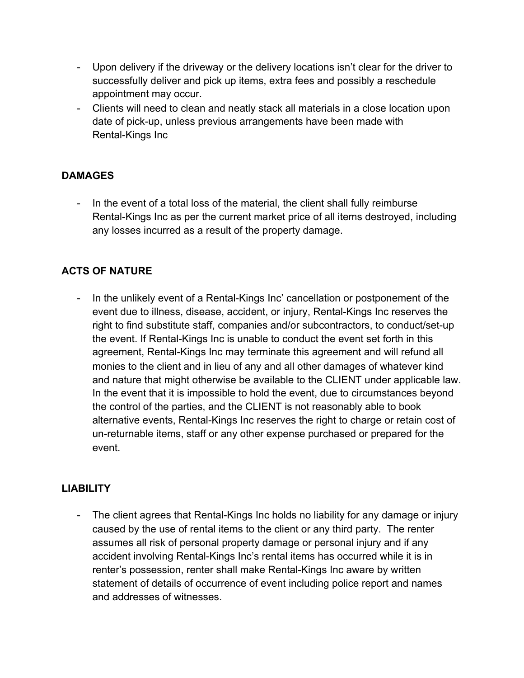- Upon delivery if the driveway or the delivery locations isn't clear for the driver to successfully deliver and pick up items, extra fees and possibly a reschedule appointment may occur.
- Clients will need to clean and neatly stack all materials in a close location upon date of pick-up, unless previous arrangements have been made with Rental-Kings Inc

## **DAMAGES**

- In the event of a total loss of the material, the client shall fully reimburse Rental-Kings Inc as per the current market price of all items destroyed, including any losses incurred as a result of the property damage.

# **ACTS OF NATURE**

- In the unlikely event of a Rental-Kings Inc' cancellation or postponement of the event due to illness, disease, accident, or injury, Rental-Kings Inc reserves the right to find substitute staff, companies and/or subcontractors, to conduct/set-up the event. If Rental-Kings Inc is unable to conduct the event set forth in this agreement, Rental-Kings Inc may terminate this agreement and will refund all monies to the client and in lieu of any and all other damages of whatever kind and nature that might otherwise be available to the CLIENT under applicable law. In the event that it is impossible to hold the event, due to circumstances beyond the control of the parties, and the CLIENT is not reasonably able to book alternative events, Rental-Kings Inc reserves the right to charge or retain cost of un-returnable items, staff or any other expense purchased or prepared for the event.

#### **LIABILITY**

The client agrees that Rental-Kings Inc holds no liability for any damage or injury caused by the use of rental items to the client or any third party. The renter assumes all risk of personal property damage or personal injury and if any accident involving Rental-Kings Inc's rental items has occurred while it is in renter's possession, renter shall make Rental-Kings Inc aware by written statement of details of occurrence of event including police report and names and addresses of witnesses.